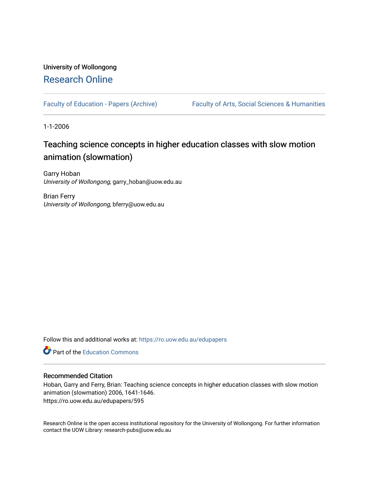# University of Wollongong [Research Online](https://ro.uow.edu.au/)

[Faculty of Education - Papers \(Archive\)](https://ro.uow.edu.au/edupapers) Faculty of Arts, Social Sciences & Humanities

1-1-2006

# Teaching science concepts in higher education classes with slow motion animation (slowmation)

Garry Hoban University of Wollongong, garry\_hoban@uow.edu.au

Brian Ferry University of Wollongong, bferry@uow.edu.au

Follow this and additional works at: [https://ro.uow.edu.au/edupapers](https://ro.uow.edu.au/edupapers?utm_source=ro.uow.edu.au%2Fedupapers%2F595&utm_medium=PDF&utm_campaign=PDFCoverPages) 

**C** Part of the [Education Commons](http://network.bepress.com/hgg/discipline/784?utm_source=ro.uow.edu.au%2Fedupapers%2F595&utm_medium=PDF&utm_campaign=PDFCoverPages)

# Recommended Citation

Hoban, Garry and Ferry, Brian: Teaching science concepts in higher education classes with slow motion animation (slowmation) 2006, 1641-1646. https://ro.uow.edu.au/edupapers/595

Research Online is the open access institutional repository for the University of Wollongong. For further information contact the UOW Library: research-pubs@uow.edu.au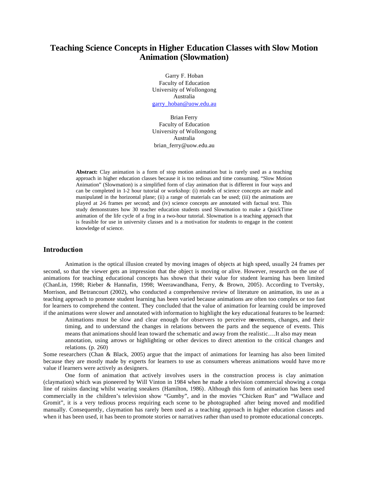# **Teaching Science Concepts in Higher Education Classes with Slow Motion Animation (Slowmation)**

Garry F. Hoban Faculty of Education University of Wollongong Australia garry\_hoban@uow.edu.au

Brian Ferry Faculty of Education University of Wollongong Australia brian\_ferry@uow.edu.au

**Abstract:** Clay animation is a form of stop motion animation but is rarely used as a teaching approach in higher education classes because it is too tedious and time consuming. "Slow Motion Animation" (Slowmation) is a simplified form of clay animation that is different in four ways and can be completed in 1-2 hour tutorial or workshop: (i) models of science concepts are made and manipulated in the horizontal plane; (ii) a range of materials can be used; (iii) the animations are played at 2-6 frames per second; and (iv) science concepts are annotated with factual text. This study demonstrates how 30 teacher education students used Slowmation to make a QuickTime animation of the life cycle of a frog in a two-hour tutorial. Slowmation is a teaching approach that is feasible for use in university classes and is a motivation for students to engage in the content knowledge of science.

#### **Introduction**

Animation is the optical illusion created by moving images of objects at high speed, usually 24 frames per second, so that the viewer gets an impression that the object is moving or alive. However, research on the use of animations for teaching educational concepts has shown that their value for student learning has been limited (ChanLin, 1998; Rieber & Hannafin, 1998; Weerawandhana, Ferry, & Brown, 2005). According to Tvertsky, Morrison, and Betrancourt (2002), who conducted a comprehensive review of literature on animation, its use as a teaching approach to promote student learning has been varied because animations are often too complex or too fast for learners to comprehend the content. They concluded that the value of animation for learning could be improved if the animations were slower and annotated with information to highlight the key educational features to be learned:

Animations must be slow and clear enough for observers to perceive movements, changes, and their timing, and to understand the changes in relations between the parts and the sequence of events. This means that animations should lean toward the schematic and away from the realistic….It also may mean annotation, using arrows or highlighting or other devices to direct attention to the critical changes and relations. (p. 260)

Some researchers (Chan & Black, 2005) argue that the impact of animations for learning has also been limited because they are mostly made by experts for learners to use as consumers whereas animations would have mo re value if learners were actively as designers.

One form of animation that actively involves users in the construction process is clay animation (claymation) which was pioneered by Will Vinton in 1984 when he made a television commercial showing a conga line of raisins dancing whilst wearing sneakers (Hamilton, 1986). Although this form of animation has been used commercially in the children's television show "Gumby", and in the movies "Chicken Run" and "Wallace and Gromit", it is a very tedious process requiring each scene to be photographed after being moved and modified manually. Consequently, claymation has rarely been used as a teaching approach in higher education classes and when it has been used, it has been to promote stories or narratives rather than used to promote educational concepts.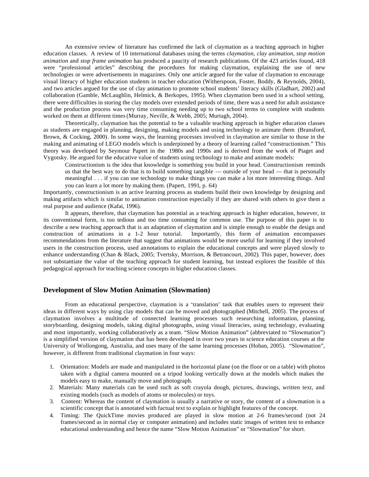An extensive review of literature has confirmed the lack of claymation as a teaching approach in higher education classes.A review of 10 international databases using the terms *claymation, clay animation, stop motion animation* and *stop frame animation* has produced a paucity of research publications. Of the 423 articles found, 418 were "professional articles" describing the procedures for making claymation, explaining the use of new technologies or were advertisements in magazines. Only one article argued for the value of claymation to encourage visual literacy of higher education students in teacher education (Witherspoon, Foster, Boddy, & Reynolds, 2004), and two articles argued for the use of clay animation to promote school students' literacy skills (Gladhart, 2002) and collaboration (Gamble, McLaughlin, Helmick, & Berkopes, 1995). When claymation been used in a school setting, there were difficulties in storing the clay models over extended periods of time, there was a need for adult assistance and the production process was very time consuming needing up to two school terms to complete with students worked on them at different times (Murray, Neville, & Webb, 2005; Murtagh, 2004).

Theoretically, claymation has the potential to be a valuable teaching approach in higher education classes as students are engaged in planning, designing, making models and using technology to animate them (Bransford, Brown, & Cocking, 2000). In some ways, the learning processes involved in claymation are similar to those in the making and animating of LEGO models which is underpinned by a theory of learning called "constructionism." This theory was developed by Seymour Papert in the 1980s and 1990s and is derived from the work of Piaget and Vygotsky. He argued for the educative value of students using technology to make and animate models:

Constructionism is the idea that knowledge is something you build in your head. Constructionism reminds us that the best way to do that is to build something tangible — outside of your head — that is personally meaningful . . . if you can use technology to make things you can make a lot more interesting things. And you can learn a lot more by making them. (Papert, 1991, p. 64)

Importantly, constructionism is an active learning process as students build their own knowledge by designing and making artifacts which is similar to animation construction especially if they are shared with others to give them a real purpose and audience (Kafai, 1996).

It appears, therefore, that claymation has potential as a teaching approach in higher education, however, in its conventional form, is too tedious and too time consuming for common use. The purpose of this paper is to describe a new teaching approach that is an adaptation of claymation and is simple enough to enable the design and construction of animations in a 1-2 hour tutorial. Importantly, this form of animation encompasses recommendations from the literature that suggest that animations would be more useful for learning if they involved users in the construction process, used annotations to explain the educational concepts and were played slowly to enhance understanding (Chan & Black, 2005; Tvertsky, Morrison, & Betrancourt, 2002). This paper, however, does not substantiate the value of the teaching approach for student learning, but instead explores the feasible of this pedagogical approach for teaching science concepts in higher education classes.

### **Development of Slow Motion Animation (Slowmation)**

From an educational perspective, claymation is a 'translation' task that enables users to represent their ideas in different ways by using clay models that can be moved and photographed (Mitchell, 2005). The process of claymation involves a multitude of connected learning processes such researching information, planning, storyboarding, designing models, taking digital photographs, using visual literacies, using technology, evaluating and most importantly, working collaboratively as a team. "Slow Motion Animation" (abbreviated to "Slowmation") is a simplified version of claymation that has been developed in over two years in science education courses at the University of Wollongong, Australia, and uses many of the same learning processes (Hoban, 2005). "Slowmation", however, is different from traditional claymation in four ways:

- 1. Orientation: Models are made and manipulated in the horizontal plane (on the floor or on a table) with photos taken with a digital camera mounted on a tripod looking vertically down at the models which makes the models easy to make, manually move and photograph.
- 2. Materials: Many materials can be used such as soft crayola dough, pictures, drawings, written text, and existing models (such as models of atoms or molecules) or toys.
- 3. Content: Whereas the content of claymation is usually a narrative or story, the content of a slowmation is a scientific concept that is annotated with factual text to explain or highlight features of the concept.
- 4. Timing: The QuickTime movies produced are played in slow motion at 2-6 frames/second (not 24 frames/second as in normal clay or computer animation) and includes static images of written text to enhance educational understanding and hence the name "Slow Motion Animation" or "Slowmation" for short.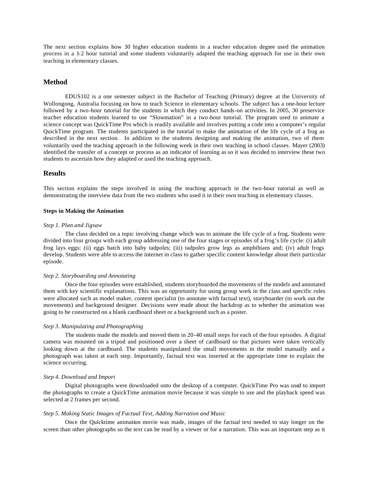The next section explains how 30 higher education students in a teacher education degree used the animation process in a 1-2 hour tutorial and some students voluntarily adapted the teaching approach for use in their own teaching in elementary classes.

#### **Method**

EDUS102 is a one semester subject in the Bachelor of Teaching (Primary) degree at the University of Wollongong, Australia focusing on how to teach Science in elementary schools. The subject has a one-hour lecture followed by a two-hour tutorial for the students in which they conduct hands-on activities. In 2005, 30 preservice teacher education students learned to use "Slowmation" in a two-hour tutorial. The program used to animate a science concept was QuickTime Pro which is readily available and involves putting a code into a computer's regular QuickTime program. The students participated in the tutorial to make the animation of the life cycle of a frog as described in the next section. In addition to the students designing and making the animation, two of them voluntarily used the teaching approach in the following week in their own teaching in school classes. Mayer (2003) identified the transfer of a concept or process as an indicator of learning as so it was decided to interview these two students to ascertain how they adapted or used the teaching approach.

#### **Results**

This section explains the steps involved in using the teaching approach in the two-hour tutorial as well as demonstrating the interview data from the two students who used it in their own teaching in elementary classes.

#### **Steps in Making the Animation**

#### *Step 1. Plan and Jigsaw*

The class decided on a topic involving change which was to animate the life cycle of a frog. Students were divided into four groups with each group addressing one of the four stages or episodes of a frog's life cycle: (i) adult frog lays eggs; (ii) eggs hatch into baby tadpoles; (iii) tadpoles grow legs as amphibians and; (iv) adult frogs develop. Students were able to access the internet in class to gather specific content knowledge about their particular episode.

#### *Step 2. Storyboarding and Annotating*

Once the four episodes were established, students storyboarded the movements of the models and annotated them with key scientific explanations. This was an opportunity for using group work in the class and specific roles were allocated such as model maker, content specialist (to annotate with factual text), storyboarder (to work out the movements) and background designer. Decisions were made about the backdrop as to whether the animation was going to be constructed on a blank cardboard sheet or a background such as a poster.

#### *Step 3. Manipulating and Photographing*

The students made the models and moved them in 20-40 small steps for each of the four episodes. A digital camera was mounted on a tripod and positioned over a sheet of cardboard so that pictures were taken vertically looking down at the cardboard. The students manipulated the small movements in the model manually and a photograph was taken at each step. Importantly, factual text was inserted at the appropriate time to explain the science occurring.

#### *Step 4. Download and Import*

Digital photographs were downloaded onto the desktop of a computer. QuickTime Pro was used to import the photographs to create a QuickTime animation movie because it was simple to use and the playback speed was selected at 2 frames per second.

#### *Step 5. Making Static Images of Factual Text, Adding Narration and Music*

Once the Quicktime animation movie was made, images of the factual text needed to stay longer on the screen than other photographs so the text can be read by a viewer or for a narration. This was an important step as it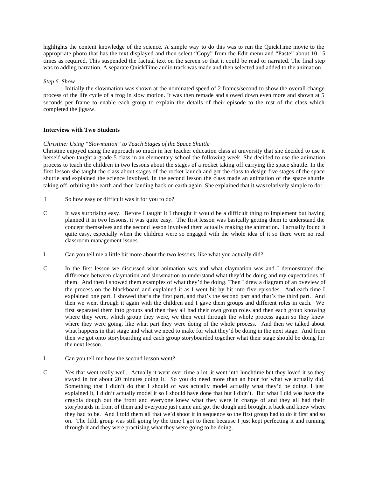highlights the content knowledge of the science. A simple way to do this was to run the QuickTime movie to the appropriate photo that has the text displayed and then select "Copy" from the Edit menu and "Paste" about 10-15 times as required. This suspended the factual text on the screen so that it could be read or narrated. The final step was to adding narration. A separate QuickTime audio track was made and then selected and added to the animation.

#### *Step 6. Show*

Initially the slowmation was shown at the nominated speed of 2 frames/second to show the overall change process of the life cycle of a frog in slow motion. It was then remade and slowed down even more and shown at 5 seconds per frame to enable each group to explain the details of their episode to the rest of the class which completed the jigsaw.

#### **Interviews with Two Students**

#### *Christine: Using "Slowmation" to Teach Stages of the Space Shuttle*

Christine enjoyed using the approach so much in her teacher education class at university that she decided to use it herself when taught a grade 5 class in an elementary school the following week. She decided to use the animation process to teach the children in two lessons about the stages of a rocket taking off carrying the space shuttle. In the first lesson she taught the class about stages of the rocket launch and got the class to design five stages of the space shuttle and explained the science involved. In the second lesson the class made an animation of the space shuttle taking off, orbiting the earth and then landing back on earth again. She explained that it was relatively simple to do:

- I So how easy or difficult was it for you to do?
- C It was surprising easy. Before I taught it I thought it would be a difficult thing to implement but having planned it in two lessons, it was quite easy. The first lesson was basically getting them to understand the concept themselves and the second lesson involved them actually making the animation. I actually found it quite easy, especially when the children were so engaged with the whole idea of it so there were no real classroom management issues.
- I Can you tell me a little bit more about the two lessons, like what you actually did?
- C In the first lesson we discussed what animation was and what claymation was and I demonstrated the difference between claymation and slowmation to understand what they'd be doing and my expectations of them. And then I showed them examples of what they'd be doing. Then I drew a diagram of an oveview of the process on the blackboard and explained it as I went bit by bit into five episodes. And each time I explained one part, I showed that's the first part, and that's the second part and that's the third part. And then we went through it again with the children and I gave them groups and different roles in each. We first separated them into groups and then they all had their own group roles and then each group knowing where they were, which group they were, we then went through the whole process again so they knew where they were going, like what part they were doing of the whole process. And then we talked about what happens in that stage and what we need to make for what they'd be doing in the next stage. And from then we got onto storyboarding and each group storyboarded together what their stage should be doing for the next lesson.
- I Can you tell me how the second lesson went?
- C Yes that went really well. Actually it went over time a lot, it went into lunchtime but they loved it so they stayed in for about 20 minutes doing it. So you do need more than an hour for what we actually did. Something that I didn't do that I should of was actually model actually what they'd be doing, I just explained it, I didn't actually model it so I should have done that but I didn't. But what I did was have the crayola dough out the front and everyone knew what they were in charge of and they all had their storyboards in front of them and everyone just came and got the dough and brought it back and knew where they had to be. And I told them all that we'd shoot it in sequence so the first group had to do it first and so on. The fifth group was still going by the time I got to them because I just kept perfecting it and running through it and they were practising what they were going to be doing.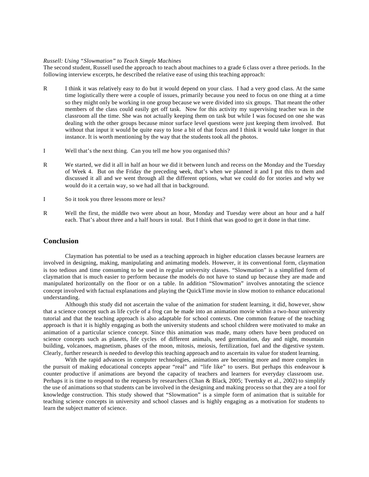#### *Russell: Using "Slowmation" to Teach Simple Machines*

The second student, Russell used the approach to teach about machines to a grade 6 class over a three periods. In the following interview excerpts, he described the relative ease of using this teaching approach:

- R I think it was relatively easy to do but it would depend on your class. I had a very good class. At the same time logistically there were a couple of issues, primarily because you need to focus on one thing at a time so they might only be working in one group because we were divided into six groups. That meant the other members of the class could easily get off task. Now for this activity my supervising teacher was in the classroom all the time. She was not actually keeping them on task but while I was focused on one she was dealing with the other groups because minor surface level questions were just keeping them involved. But without that input it would be quite easy to lose a bit of that focus and I think it would take longer in that instance. It is worth mentioning by the way that the students took all the photos.
- I Well that's the next thing. Can you tell me how you organised this?
- R We started, we did it all in half an hour we did it between lunch and recess on the Monday and the Tuesday of Week 4. But on the Friday the preceding week, that's when we planned it and I put this to them and discussed it all and we went through all the different options, what we could do for stories and why we would do it a certain way, so we had all that in background.
- I So it took you three lessons more or less?
- R Well the first, the middle two were about an hour, Monday and Tuesday were about an hour and a half each. That's about three and a half hours in total. But I think that was good to get it done in that time.

## **Conclusion**

Claymation has potential to be used as a teaching approach in higher education classes because learners are involved in designing, making, manipulating and animating models. However, it its conventional form, claymation is too tedious and time consuming to be used in regular university classes. "Slowmation" is a simplified form of claymation that is much easier to perform because the models do not have to stand up because they are made and manipulated horizontally on the floor or on a table. In addition "Slowmation" involves annotating the science concept involved with factual explanations and playing the QuickTime movie in slow motion to enhance educational understanding.

Although this study did not ascertain the value of the animation for student learning, it did, however, show that a science concept such as life cycle of a frog can be made into an animation movie within a two-hour university tutorial and that the teaching approach is also adaptable for school contexts. One common feature of the teaching approach is that it is highly engaging as both the university students and school children were motivated to make an animation of a particular science concept. Since this animation was made, many others have been produced on science concepts such as planets, life cycles of different animals, seed germination, day and night, mountain building, volcanoes, magnetism, phases of the moon, mitosis, meiosis, fertilization, fuel and the digestive system. Clearly, further research is needed to develop this teaching approach and to ascertain its value for student learning.

With the rapid advances in computer technologies, animations are becoming more and more complex in the pursuit of making educational concepts appear "real" and "life like" to users. But perhaps this endeavour is counter productive if animations are beyond the capacity of teachers and learners for everyday classroom use. Perhaps it is time to respond to the requests by researchers (Chan & Black, 2005; Tvertsky et al., 2002) to simplify the use of animations so that students can be involved in the designing and making process so that they are a tool for knowledge construction. This study showed that "Slowmation" is a simple form of animation that is suitable for teaching science concepts in university and school classes and is highly engaging as a motivation for students to learn the subject matter of science.